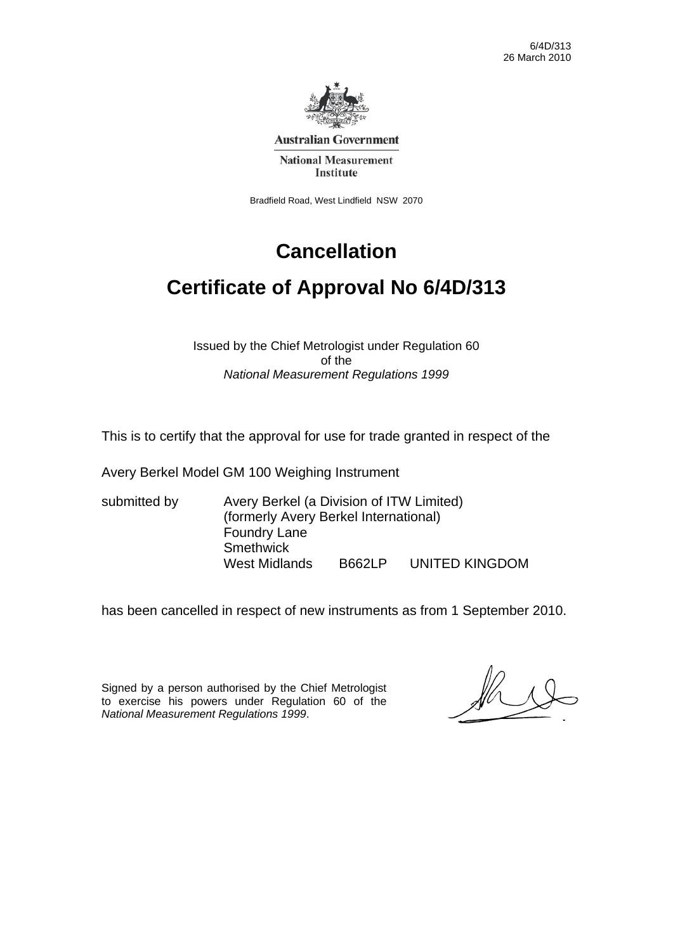6/4D/313 26 March 2010



**Australian Government** 

**National Measurement Institute** 

Bradfield Road, West Lindfield NSW 2070

# **Cancellation**

# **Certificate of Approval No 6/4D/313**

Issued by the Chief Metrologist under Regulation 60 of the *National Measurement Regulations 1999* 

This is to certify that the approval for use for trade granted in respect of the

Avery Berkel Model GM 100 Weighing Instrument

submitted by Avery Berkel (a Division of ITW Limited) (formerly Avery Berkel International) Foundry Lane **Smethwick** West Midlands B662LP UNITED KINGDOM

has been cancelled in respect of new instruments as from 1 September 2010.

Signed by a person authorised by the Chief Metrologist to exercise his powers under Regulation 60 of the *National Measurement Regulations 1999*.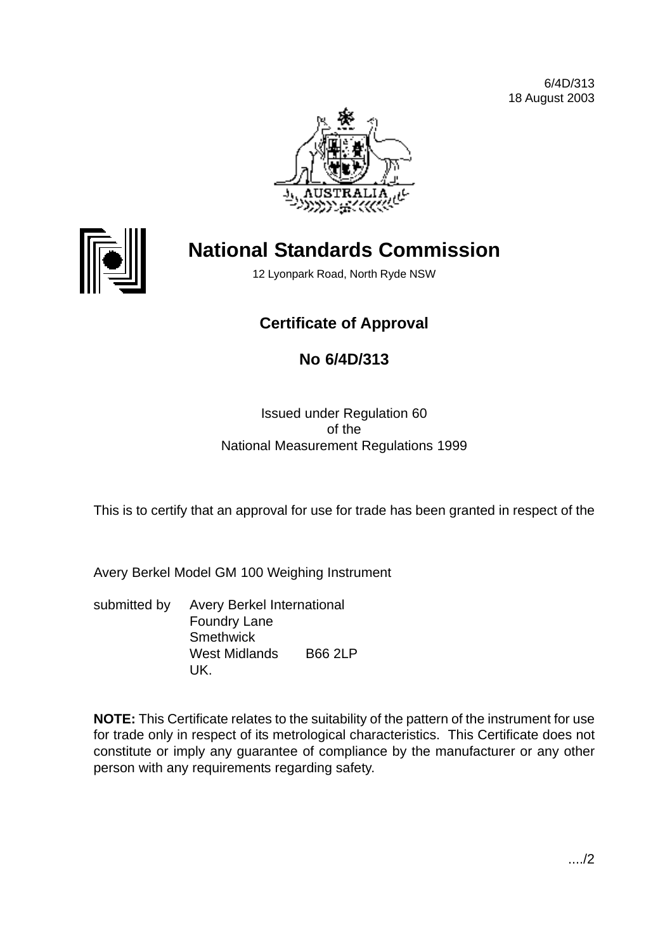



# **National Standards Commission**

12 Lyonpark Road, North Ryde NSW

# **Certificate of Approval**

# **No 6/4D/313**

## Issued under Regulation 60 of the National Measurement Regulations 1999

This is to certify that an approval for use for trade has been granted in respect of the

Avery Berkel Model GM 100 Weighing Instrument

submitted by Avery Berkel International Foundry Lane **Smethwick** West Midlands B66 2LP UK.

**NOTE:** This Certificate relates to the suitability of the pattern of the instrument for use for trade only in respect of its metrological characteristics. This Certificate does not constitute or imply any guarantee of compliance by the manufacturer or any other person with any requirements regarding safety.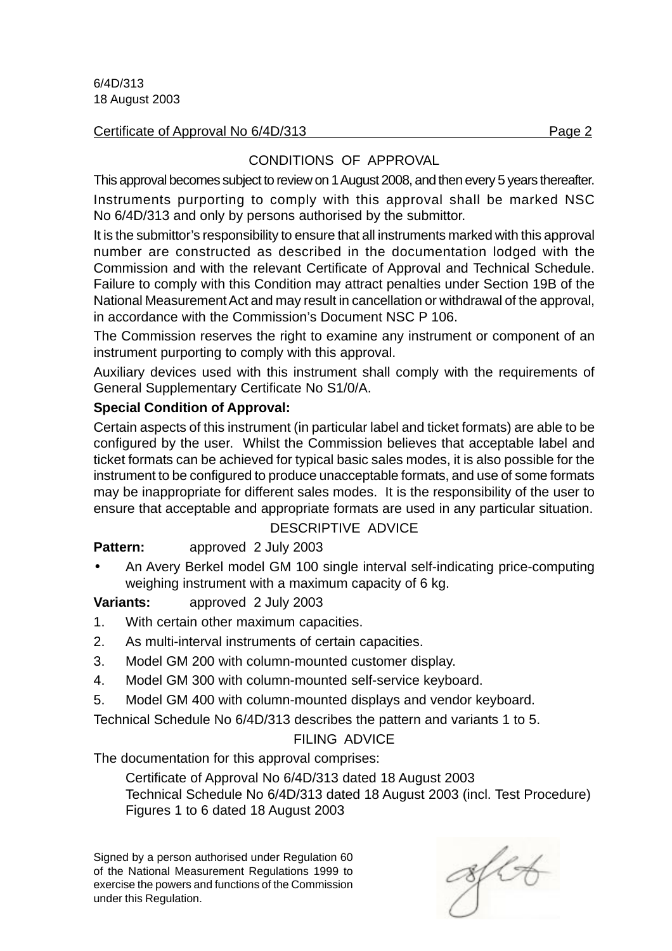#### Certificate of Approval No 6/4D/313 Page 2

# CONDITIONS OF APPROVAL

This approval becomes subject to review on 1 August 2008, and then every 5 years thereafter. Instruments purporting to comply with this approval shall be marked NSC No 6/4D/313 and only by persons authorised by the submittor.

It is the submittor's responsibility to ensure that all instruments marked with this approval number are constructed as described in the documentation lodged with the Commission and with the relevant Certificate of Approval and Technical Schedule. Failure to comply with this Condition may attract penalties under Section 19B of the National Measurement Act and may result in cancellation or withdrawal of the approval, in accordance with the Commission's Document NSC P 106.

The Commission reserves the right to examine any instrument or component of an instrument purporting to comply with this approval.

Auxiliary devices used with this instrument shall comply with the requirements of General Supplementary Certificate No S1/0/A.

## **Special Condition of Approval:**

Certain aspects of this instrument (in particular label and ticket formats) are able to be configured by the user. Whilst the Commission believes that acceptable label and ticket formats can be achieved for typical basic sales modes, it is also possible for the instrument to be configured to produce unacceptable formats, and use of some formats may be inappropriate for different sales modes. It is the responsibility of the user to ensure that acceptable and appropriate formats are used in any particular situation.

# DESCRIPTIVE ADVICE

**Pattern:** approved 2 July 2003

• An Avery Berkel model GM 100 single interval self-indicating price-computing weighing instrument with a maximum capacity of 6 kg.

# **Variants:** approved 2 July 2003

- 1. With certain other maximum capacities.
- 2. As multi-interval instruments of certain capacities.
- 3. Model GM 200 with column-mounted customer display.
- 4. Model GM 300 with column-mounted self-service keyboard.
- 5. Model GM 400 with column-mounted displays and vendor keyboard.

Technical Schedule No 6/4D/313 describes the pattern and variants 1 to 5.

# FILING ADVICE

The documentation for this approval comprises:

Certificate of Approval No 6/4D/313 dated 18 August 2003 Technical Schedule No 6/4D/313 dated 18 August 2003 (incl. Test Procedure) Figures 1 to 6 dated 18 August 2003

Signed by a person authorised under Regulation 60 of the National Measurement Regulations 1999 to exercise the powers and functions of the Commission under this Regulation.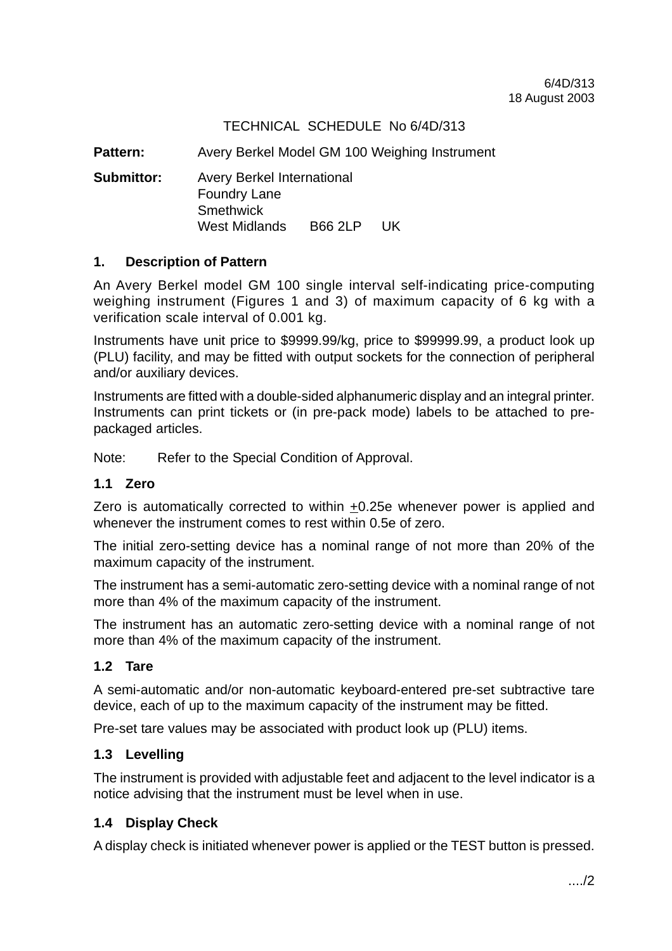## TECHNICAL SCHEDULE No 6/4D/313

**Pattern:** Avery Berkel Model GM 100 Weighing Instrument

**Submittor:** Avery Berkel International Foundry Lane **Smethwick** West Midlands B66 2LP UK

#### **1. Description of Pattern**

An Avery Berkel model GM 100 single interval self-indicating price-computing weighing instrument (Figures 1 and 3) of maximum capacity of 6 kg with a verification scale interval of 0.001 kg.

Instruments have unit price to \$9999.99/kg, price to \$99999.99, a product look up (PLU) facility, and may be fitted with output sockets for the connection of peripheral and/or auxiliary devices.

Instruments are fitted with a double-sided alphanumeric display and an integral printer. Instruments can print tickets or (in pre-pack mode) labels to be attached to prepackaged articles.

Note: Refer to the Special Condition of Approval.

#### **1.1 Zero**

Zero is automatically corrected to within  $\pm 0.25e$  whenever power is applied and whenever the instrument comes to rest within 0.5e of zero.

The initial zero-setting device has a nominal range of not more than 20% of the maximum capacity of the instrument.

The instrument has a semi-automatic zero-setting device with a nominal range of not more than 4% of the maximum capacity of the instrument.

The instrument has an automatic zero-setting device with a nominal range of not more than 4% of the maximum capacity of the instrument.

#### **1.2 Tare**

A semi-automatic and/or non-automatic keyboard-entered pre-set subtractive tare device, each of up to the maximum capacity of the instrument may be fitted.

Pre-set tare values may be associated with product look up (PLU) items.

#### **1.3 Levelling**

The instrument is provided with adjustable feet and adjacent to the level indicator is a notice advising that the instrument must be level when in use.

#### **1.4 Display Check**

A display check is initiated whenever power is applied or the TEST button is pressed.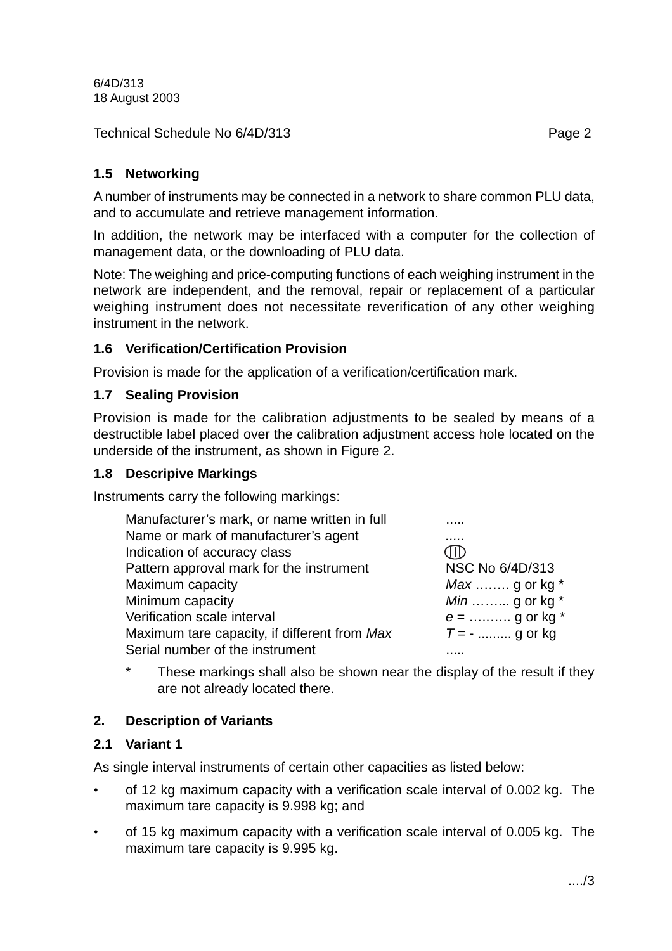#### Technical Schedule No 6/4D/313 **Page 2** Page 2

## **1.5 Networking**

A number of instruments may be connected in a network to share common PLU data, and to accumulate and retrieve management information.

In addition, the network may be interfaced with a computer for the collection of management data, or the downloading of PLU data.

Note: The weighing and price-computing functions of each weighing instrument in the network are independent, and the removal, repair or replacement of a particular weighing instrument does not necessitate reverification of any other weighing instrument in the network.

## **1.6 Verification/Certification Provision**

Provision is made for the application of a verification/certification mark.

#### **1.7 Sealing Provision**

Provision is made for the calibration adjustments to be sealed by means of a destructible label placed over the calibration adjustment access hole located on the underside of the instrument, as shown in Figure 2.

#### **1.8 Descripive Markings**

Instruments carry the following markings:

| Manufacturer's mark, or name written in full |                        |
|----------------------------------------------|------------------------|
| Name or mark of manufacturer's agent         |                        |
| Indication of accuracy class                 | 3HD                    |
| Pattern approval mark for the instrument     | NSC No 6/4D/313        |
| Maximum capacity                             | <i>Max</i> g or kg $*$ |
| Minimum capacity                             | $Min$ g or kg $*$      |
| Verification scale interval                  | $e =$ g or kg *        |
| Maximum tare capacity, if different from Max | $T = -$ g or kg        |
| Serial number of the instrument              |                        |
|                                              |                        |

\* These markings shall also be shown near the display of the result if they are not already located there.

## **2. Description of Variants**

## **2.1 Variant 1**

As single interval instruments of certain other capacities as listed below:

- of 12 kg maximum capacity with a verification scale interval of 0.002 kg. The maximum tare capacity is 9.998 kg; and
- of 15 kg maximum capacity with a verification scale interval of 0.005 kg. The maximum tare capacity is 9.995 kg.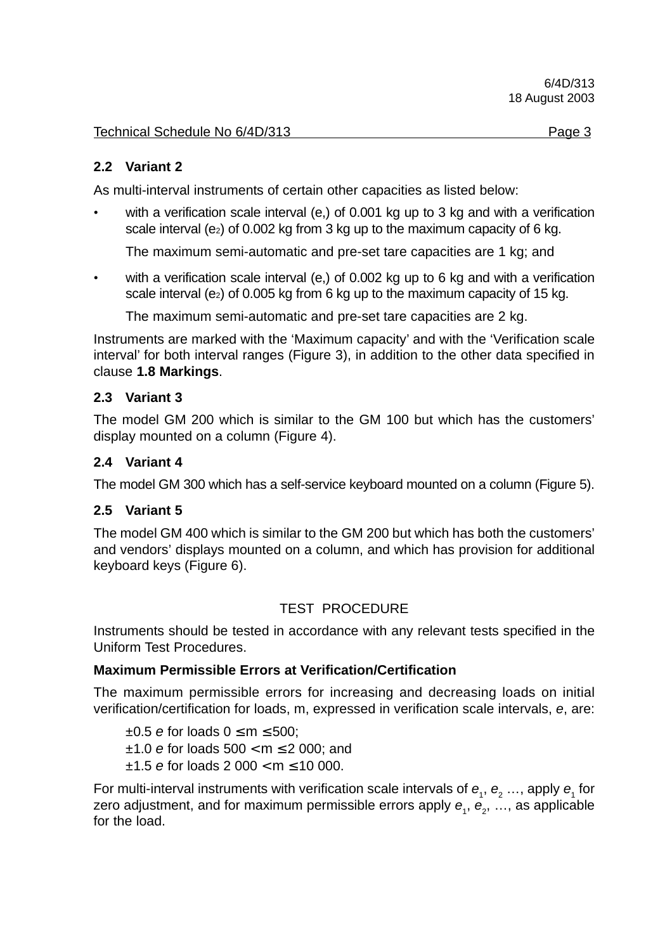## **2.2 Variant 2**

As multi-interval instruments of certain other capacities as listed below:

with a verification scale interval (e,) of 0.001 kg up to 3 kg and with a verification scale interval (e<sub>2</sub>) of 0.002 kg from 3 kg up to the maximum capacity of 6 kg.

The maximum semi-automatic and pre-set tare capacities are 1 kg; and

with a verification scale interval (e,) of 0.002 kg up to 6 kg and with a verification scale interval (e<sub>2</sub>) of 0.005 kg from 6 kg up to the maximum capacity of 15 kg.

The maximum semi-automatic and pre-set tare capacities are 2 kg.

Instruments are marked with the 'Maximum capacity' and with the 'Verification scale interval' for both interval ranges (Figure 3), in addition to the other data specified in clause **1.8 Markings**.

#### **2.3 Variant 3**

The model GM 200 which is similar to the GM 100 but which has the customers' display mounted on a column (Figure 4).

## **2.4 Variant 4**

The model GM 300 which has a self-service keyboard mounted on a column (Figure 5).

#### **2.5 Variant 5**

The model GM 400 which is similar to the GM 200 but which has both the customers' and vendors' displays mounted on a column, and which has provision for additional keyboard keys (Figure 6).

## TEST PROCEDURE

Instruments should be tested in accordance with any relevant tests specified in the Uniform Test Procedures.

#### **Maximum Permissible Errors at Verification/Certification**

The maximum permissible errors for increasing and decreasing loads on initial verification/certification for loads, m, expressed in verification scale intervals, e, are:

 $\pm 0.5$  e for loads  $0 \le m \le 500$ ;  $±1.0$  e for loads  $500 < m \le 2000$ ; and  $±1.5$  e for loads 2 000 < m  $\leq$  10 000.

For multi-interval instruments with verification scale intervals of  $e_1, e_2, \ldots$ , apply  $e_1$  for zero adjustment, and for maximum permissible errors apply  $\bm{e}_{_{1}},$   $\bm{e}_{_{2}},$  …, as applicable for the load.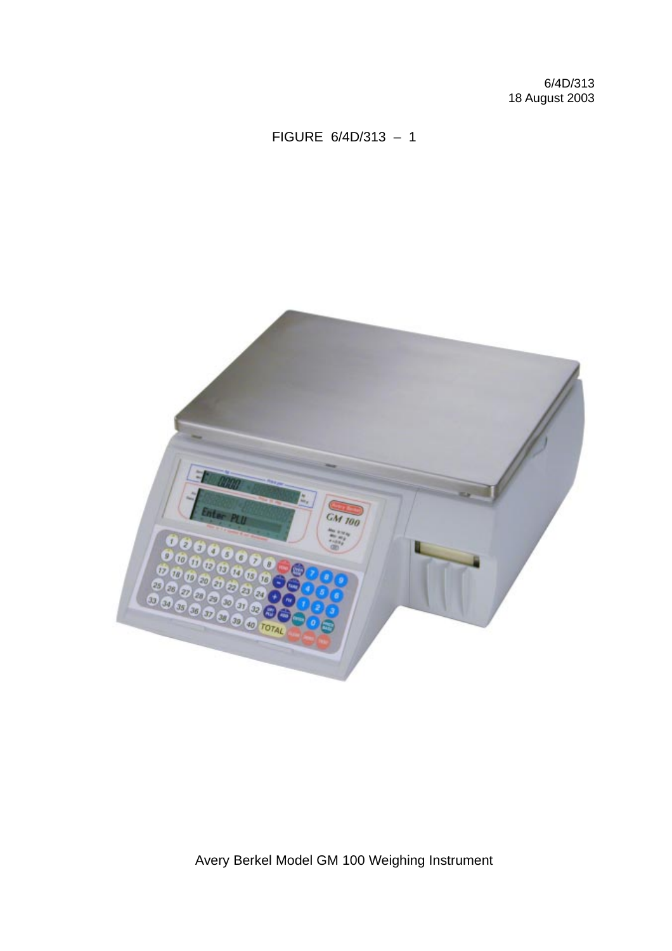# FIGURE 6/4D/313 – 1



Avery Berkel Model GM 100 Weighing Instrument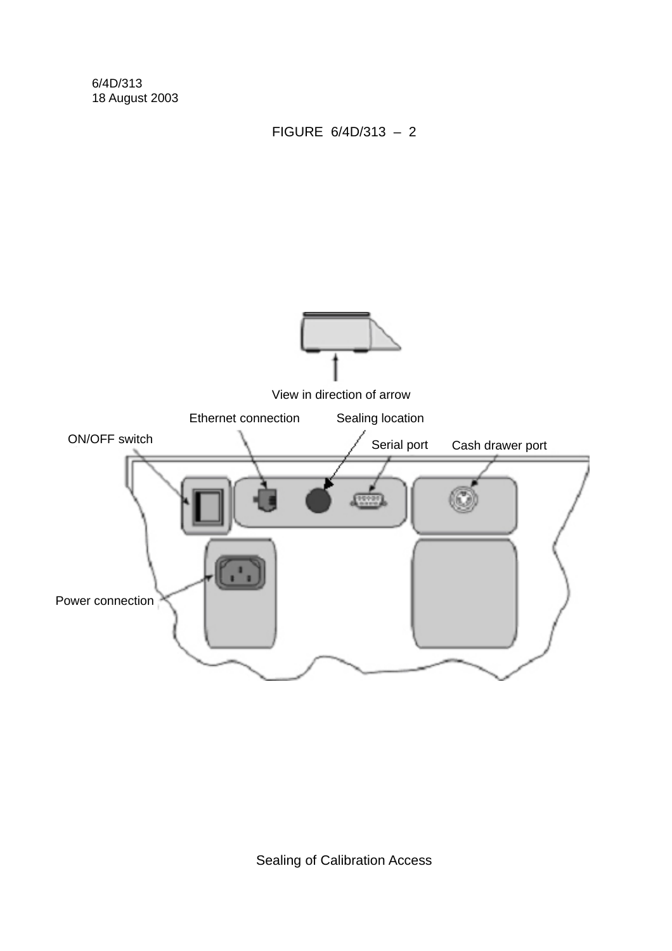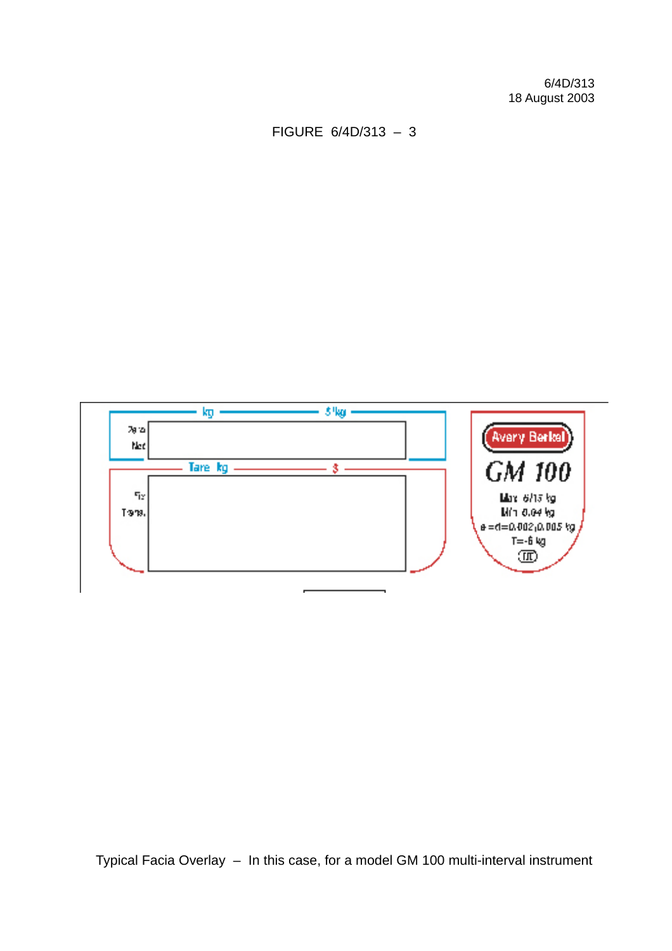FIGURE 6/4D/313 – 3



Typical Facia Overlay – In this case, for a model GM 100 multi-interval instrument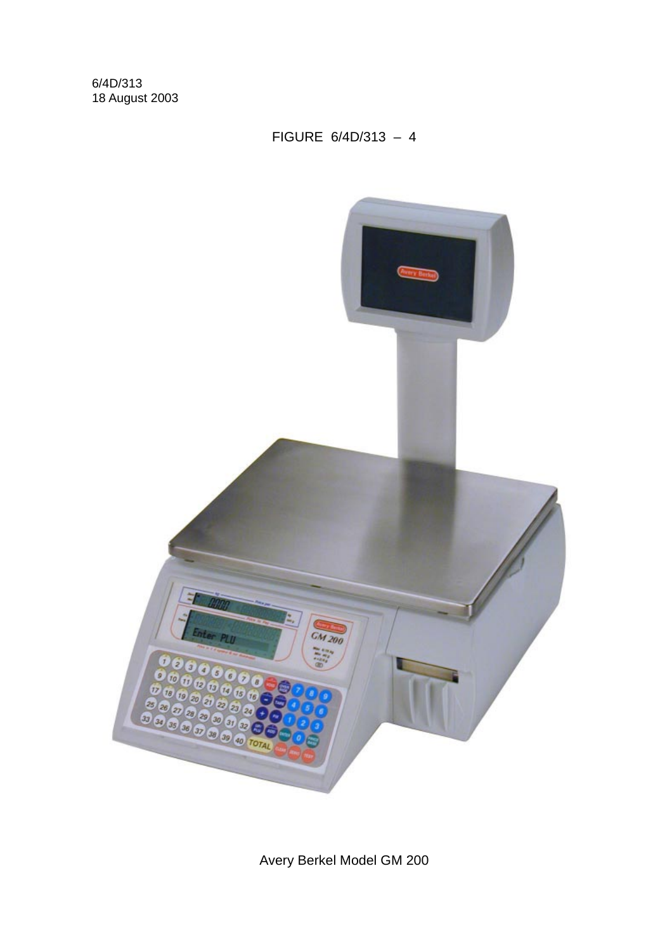# FIGURE 6/4D/313 – 4



Avery Berkel Model GM 200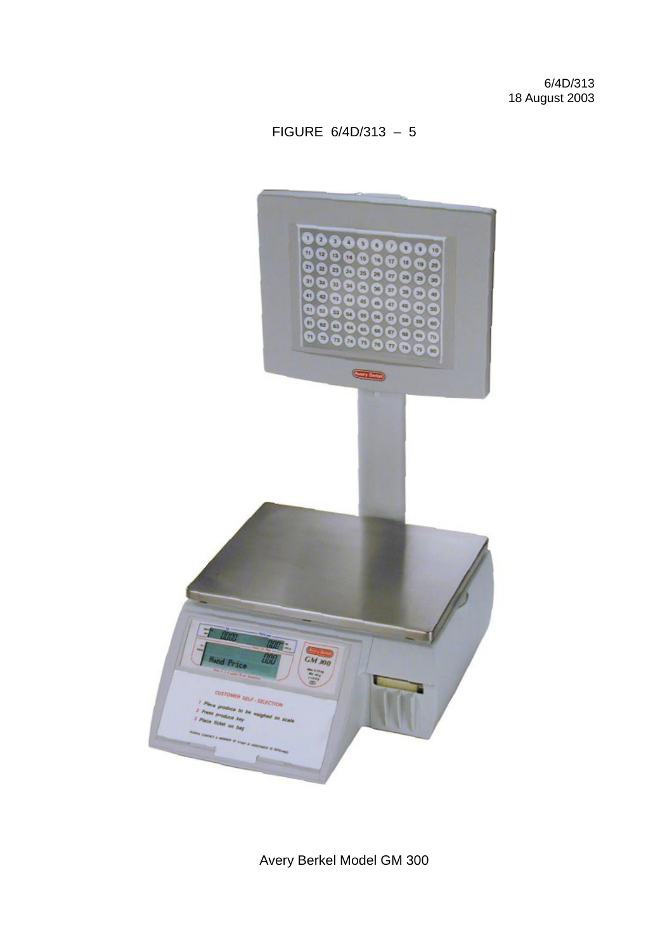# FIGURE 6/4D/313 – 5



Avery Berkel Model GM 300